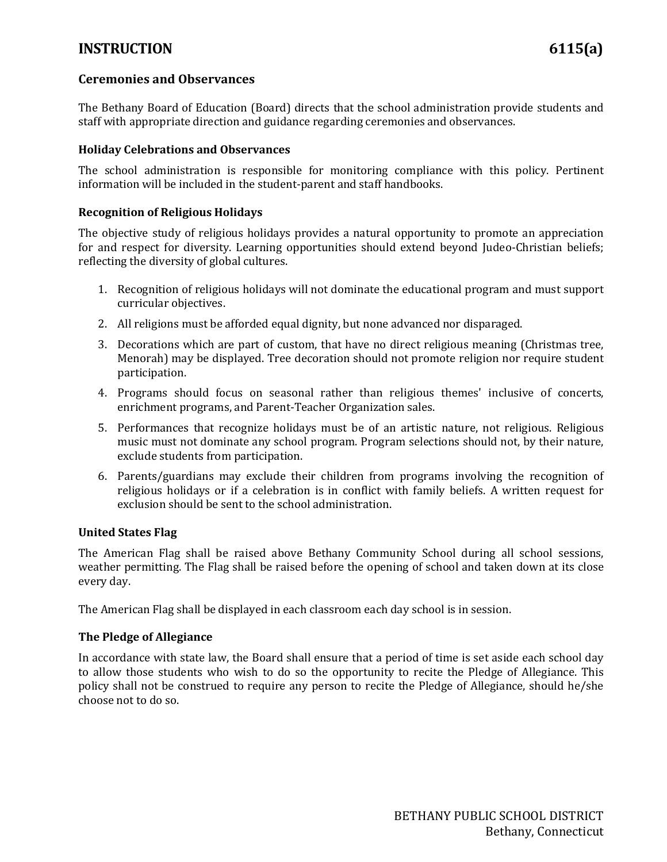## **INSTRUCTION 6115(a)**

#### **Ceremonies and Observances**

The Bethany Board of Education (Board) directs that the school administration provide students and staff with appropriate direction and guidance regarding ceremonies and observances.

#### **Holiday Celebrations and Observances**

The school administration is responsible for monitoring compliance with this policy. Pertinent information will be included in the student-parent and staff handbooks.

#### **Recognition of Religious Holidays**

The objective study of religious holidays provides a natural opportunity to promote an appreciation for and respect for diversity. Learning opportunities should extend beyond Judeo-Christian beliefs; reflecting the diversity of global cultures.

- 1. Recognition of religious holidays will not dominate the educational program and must support curricular objectives.
- 2. All religions must be afforded equal dignity, but none advanced nor disparaged.
- 3. Decorations which are part of custom, that have no direct religious meaning (Christmas tree, Menorah) may be displayed. Tree decoration should not promote religion nor require student participation.
- 4. Programs should focus on seasonal rather than religious themes' inclusive of concerts, enrichment programs, and Parent-Teacher Organization sales.
- 5. Performances that recognize holidays must be of an artistic nature, not religious. Religious music must not dominate any school program. Program selections should not, by their nature, exclude students from participation.
- 6. Parents/guardians may exclude their children from programs involving the recognition of religious holidays or if a celebration is in conflict with family beliefs. A written request for exclusion should be sent to the school administration.

#### **United States Flag**

The American Flag shall be raised above Bethany Community School during all school sessions, weather permitting. The Flag shall be raised before the opening of school and taken down at its close every day.

The American Flag shall be displayed in each classroom each day school is in session.

#### **The Pledge of Allegiance**

In accordance with state law, the Board shall ensure that a period of time is set aside each school day to allow those students who wish to do so the opportunity to recite the Pledge of Allegiance. This policy shall not be construed to require any person to recite the Pledge of Allegiance, should he/she choose not to do so.